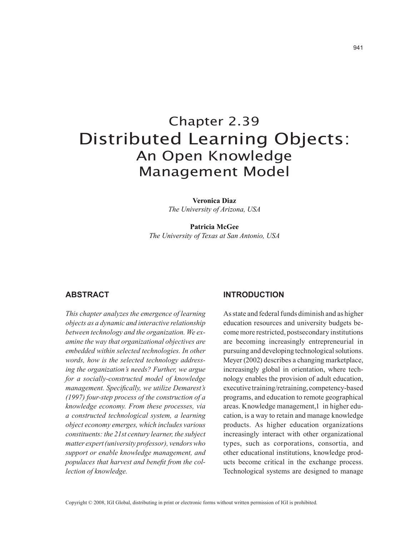# Chapter 2.39 Distributed Learning Objects: An Open Knowledge Management Model

**Veronica Diaz** *The University of Arizona, USA*

**Patricia McGee** *The University of Texas at San Antonio, USA*

# **abstract**

*This chapter analyzes the emergence of learning objects as a dynamic and interactive relationship between technology and the organization. We examine the way that organizational objectives are embedded within selected technologies. In other words, how is the selected technology addressing the organization's needs? Further, we argue for a socially-constructed model of knowledge management. Specifically, we utilize Demarest's (1997) four-step process of the construction of a knowledge economy. From these processes, via a constructed technological system, a learning object economy emerges, which includes various constituents: the 21st century learner, the subject matter expert (university professor), vendors who support or enable knowledge management, and populaces that harvest and benefit from the collection of knowledge.*

## **IntroductIon**

As state and federal funds diminish and as higher education resources and university budgets become more restricted, postsecondary institutions are becoming increasingly entrepreneurial in pursuing and developing technological solutions. Meyer (2002) describes a changing marketplace, increasingly global in orientation, where technology enables the provision of adult education, executive training/retraining, competency-based programs, and education to remote geographical areas. Knowledge management,1 in higher education, is a way to retain and manage knowledge products. As higher education organizations increasingly interact with other organizational types, such as corporations, consortia, and other educational institutions, knowledge products become critical in the exchange process. Technological systems are designed to manage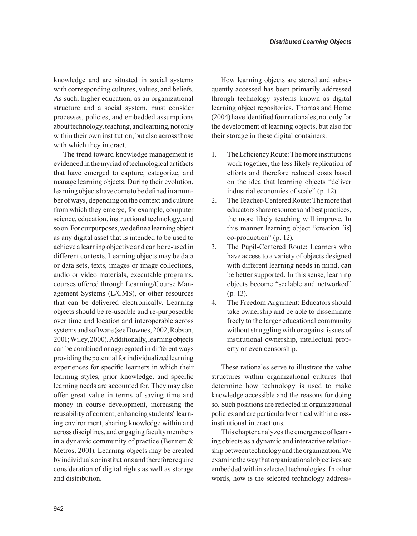knowledge and are situated in social systems with corresponding cultures, values, and beliefs. As such, higher education, as an organizational structure and a social system, must consider processes, policies, and embedded assumptions about technology, teaching, and learning, not only within their own institution, but also across those with which they interact.

The trend toward knowledge management is evidenced in the myriad of technological artifacts that have emerged to capture, categorize, and manage learning objects. During their evolution, learning objects have come to be defined in a number of ways, depending on the context and culture from which they emerge, for example, computer science, education, instructional technology, and so on. For our purposes, we define a learning object as any digital asset that is intended to be used to achieve a learning objective and can be re-used in different contexts. Learning objects may be data or data sets, texts, images or image collections, audio or video materials, executable programs, courses offered through Learning/Course Management Systems (L/CMS), or other resources that can be delivered electronically. Learning objects should be re-useable and re-purposeable over time and location and interoperable across systems and software (see Downes, 2002; Robson, 2001; Wiley, 2000). Additionally, learning objects can be combined or aggregated in different ways providing the potential for individualized learning experiences for specific learners in which their learning styles, prior knowledge, and specific learning needs are accounted for. They may also offer great value in terms of saving time and money in course development, increasing the reusability of content, enhancing students' learning environment, sharing knowledge within and across disciplines, and engaging faculty members in a dynamic community of practice (Bennett & Metros, 2001). Learning objects may be created by individuals or institutions and therefore require consideration of digital rights as well as storage and distribution.

How learning objects are stored and subsequently accessed has been primarily addressed through technology systems known as digital learning object repositories. Thomas and Home (2004) have identified four rationales, not only for the development of learning objects, but also for their storage in these digital containers.

- 1. The Efficiency Route: The more institutions work together, the less likely replication of efforts and therefore reduced costs based on the idea that learning objects "deliver industrial economies of scale" (p. 12).
- 2. The Teacher-Centered Route: The more that educators share resources and best practices, the more likely teaching will improve. In this manner learning object "creation [is] co-production" (p. 12).
- 3. The Pupil-Centered Route: Learners who have access to a variety of objects designed with different learning needs in mind, can be better supported. In this sense, learning objects become "scalable and networked" (p. 13).
- 4. The Freedom Argument: Educators should take ownership and be able to disseminate freely to the larger educational community without struggling with or against issues of institutional ownership, intellectual property or even censorship.

These rationales serve to illustrate the value structures within organizational cultures that determine how technology is used to make knowledge accessible and the reasons for doing so. Such positions are reflected in organizational policies and are particularly critical within crossinstitutional interactions.

This chapter analyzes the emergence of learning objects as a dynamic and interactive relationship between technology and the organization. We examine the way that organizational objectives are embedded within selected technologies. In other words, how is the selected technology address-